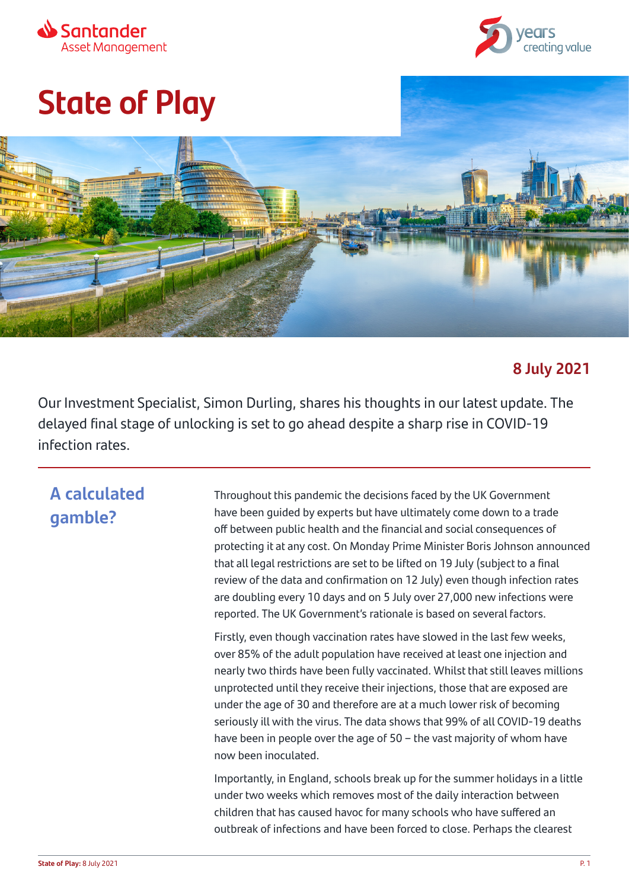



# **State of Play**



#### **8 July 2021**

Our Investment Specialist, Simon Durling, shares his thoughts in our latest update. The delayed final stage of unlocking is set to go ahead despite a sharp rise in COVID-19 infection rates.

### **A calculated gamble?**

Throughout this pandemic the decisions faced by the UK Government have been guided by experts but have ultimately come down to a trade off between public health and the financial and social consequences of protecting it at any cost. On Monday Prime Minister Boris Johnson announced that all legal restrictions are set to be lifted on 19 July (subject to a final review of the data and confirmation on 12 July) even though infection rates are doubling every 10 days and on 5 July over 27,000 new infections were reported. The UK Government's rationale is based on several factors.

Firstly, even though vaccination rates have slowed in the last few weeks, over 85% of the adult population have received at least one injection and nearly two thirds have been fully vaccinated. Whilst that still leaves millions unprotected until they receive their injections, those that are exposed are under the age of 30 and therefore are at a much lower risk of becoming seriously ill with the virus. The data shows that 99% of all COVID-19 deaths have been in people over the age of 50 – the vast majority of whom have now been inoculated.

Importantly, in England, schools break up for the summer holidays in a little under two weeks which removes most of the daily interaction between children that has caused havoc for many schools who have suffered an outbreak of infections and have been forced to close. Perhaps the clearest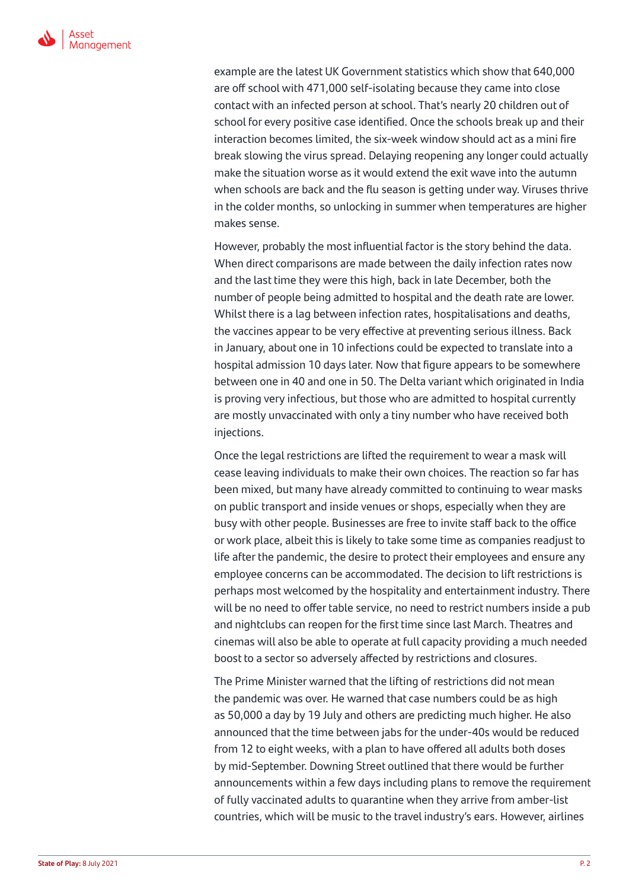

example are the latest UK Government statistics which show that 640,000 are off school with 471,000 self-isolating because they came into close contact with an infected person at school. That's nearly 20 children out of school for every positive case identified. Once the schools break up and their interaction becomes limited, the six-week window should act as a mini fire break slowing the virus spread. Delaying reopening any longer could actually make the situation worse as it would extend the exit wave into the autumn when schools are back and the flu season is getting under way. Viruses thrive in the colder months, so unlocking in summer when temperatures are higher makes sense.

However, probably the most influential factor is the story behind the data. When direct comparisons are made between the daily infection rates now and the last time they were this high, back in late December, both the number of people being admitted to hospital and the death rate are lower. Whilst there is a lag between infection rates, hospitalisations and deaths, the vaccines appear to be very effective at preventing serious illness. Back in January, about one in 10 infections could be expected to translate into a hospital admission 10 days later. Now that figure appears to be somewhere between one in 40 and one in 50. The Delta variant which originated in India is proving very infectious, but those who are admitted to hospital currently are mostly unvaccinated with only a tiny number who have received both injections.

Once the legal restrictions are lifted the requirement to wear a mask will cease leaving individuals to make their own choices. The reaction so far has been mixed, but many have already committed to continuing to wear masks on public transport and inside venues or shops, especially when they are busy with other people. Businesses are free to invite staff back to the office or work place, albeit this is likely to take some time as companies readjust to life after the pandemic, the desire to protect their employees and ensure any employee concerns can be accommodated. The decision to lift restrictions is perhaps most welcomed by the hospitality and entertainment industry. There will be no need to offer table service, no need to restrict numbers inside a pub and nightclubs can reopen for the first time since last March. Theatres and cinemas will also be able to operate at full capacity providing a much needed boost to a sector so adversely affected by restrictions and closures.

The Prime Minister warned that the lifting of restrictions did not mean the pandemic was over. He warned that case numbers could be as high as 50,000 a day by 19 July and others are predicting much higher. He also announced that the time between jabs for the under-40s would be reduced from 12 to eight weeks, with a plan to have offered all adults both doses by mid-September. Downing Street outlined that there would be further announcements within a few days including plans to remove the requirement of fully vaccinated adults to quarantine when they arrive from amber-list countries, which will be music to the travel industry's ears. However, airlines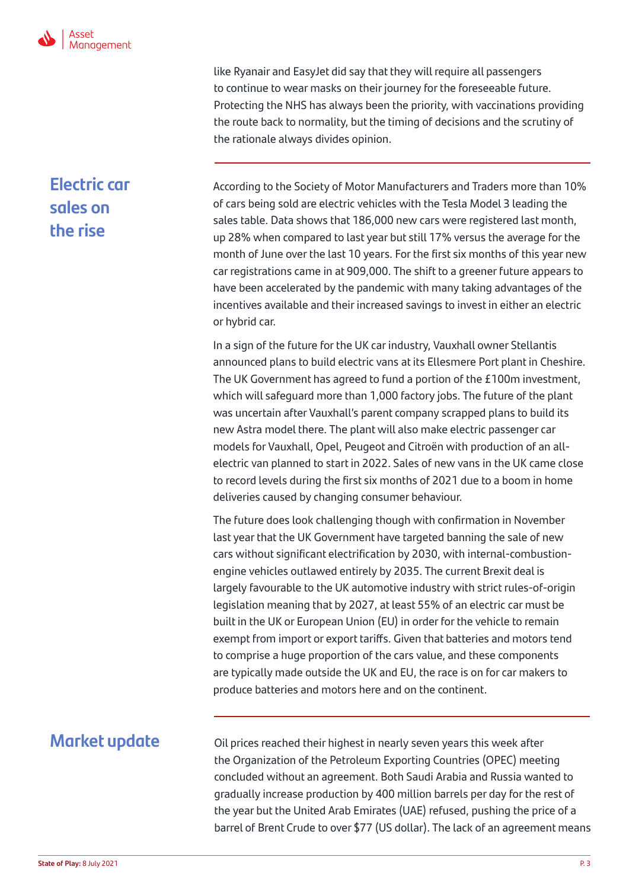

like Ryanair and EasyJet did say that they will require all passengers to continue to wear masks on their journey for the foreseeable future. Protecting the NHS has always been the priority, with vaccinations providing the route back to normality, but the timing of decisions and the scrutiny of the rationale always divides opinion.

## **Electric car sales on the rise**

According to the Society of Motor Manufacturers and Traders more than 10% of cars being sold are electric vehicles with the Tesla Model 3 leading the sales table. Data shows that 186,000 new cars were registered last month, up 28% when compared to last year but still 17% versus the average for the month of June over the last 10 years. For the first six months of this year new car registrations came in at 909,000. The shift to a greener future appears to have been accelerated by the pandemic with many taking advantages of the incentives available and their increased savings to invest in either an electric or hybrid car.

In a sign of the future for the UK car industry, Vauxhall owner Stellantis announced plans to build electric vans at its Ellesmere Port plant in Cheshire. The UK Government has agreed to fund a portion of the £100m investment, which will safeguard more than 1,000 factory jobs. The future of the plant was uncertain after Vauxhall's parent company scrapped plans to build its new Astra model there. The plant will also make electric passenger car models for Vauxhall, Opel, Peugeot and Citroën with production of an allelectric van planned to start in 2022. Sales of new vans in the UK came close to record levels during the first six months of 2021 due to a boom in home deliveries caused by changing consumer behaviour.

The future does look challenging though with confirmation in November last year that the UK Government have targeted banning the sale of new cars without significant electrification by 2030, with internal-combustionengine vehicles outlawed entirely by 2035. The current Brexit deal is largely favourable to the UK automotive industry with strict rules-of-origin legislation meaning that by 2027, at least 55% of an electric car must be built in the UK or European Union (EU) in order for the vehicle to remain exempt from import or export tariffs. Given that batteries and motors tend to comprise a huge proportion of the cars value, and these components are typically made outside the UK and EU, the race is on for car makers to produce batteries and motors here and on the continent.

#### **Market update**

Oil prices reached their highest in nearly seven years this week after the Organization of the Petroleum Exporting Countries (OPEC) meeting concluded without an agreement. Both Saudi Arabia and Russia wanted to gradually increase production by 400 million barrels per day for the rest of the year but the United Arab Emirates (UAE) refused, pushing the price of a barrel of Brent Crude to over \$77 (US dollar). The lack of an agreement means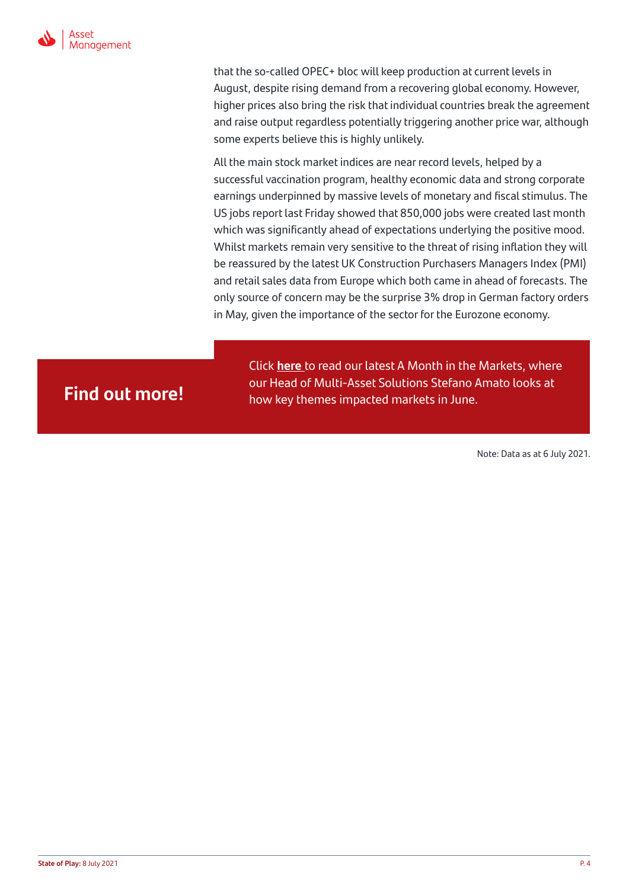

that the so-called OPEC+ bloc will keep production at current levels in August, despite rising demand from a recovering global economy. However, higher prices also bring the risk that individual countries break the agreement and raise output regardless potentially triggering another price war, although some experts believe this is highly unlikely.

All the main stock market indices are near record levels, helped by a successful vaccination program, healthy economic data and strong corporate earnings underpinned by massive levels of monetary and fiscal stimulus. The US jobs report last Friday showed that 850,000 jobs were created last month which was significantly ahead of expectations underlying the positive mood. Whilst markets remain very sensitive to the threat of rising inflation they will be reassured by the latest UK Construction Purchasers Managers Index (PMI) and retail sales data from Europe which both came in ahead of forecasts. The only source of concern may be the surprise 3% drop in German factory orders in May, given the importance of the sector for the Eurozone economy.

Click **[here](https://bit.ly/3jVLmKI)** to read our latest A Month in the Markets, where our Head of Multi-Asset Solutions Stefano Amato looks at<br>how key themes impacted markets in June.

Note: Data as at 6 July 2021.